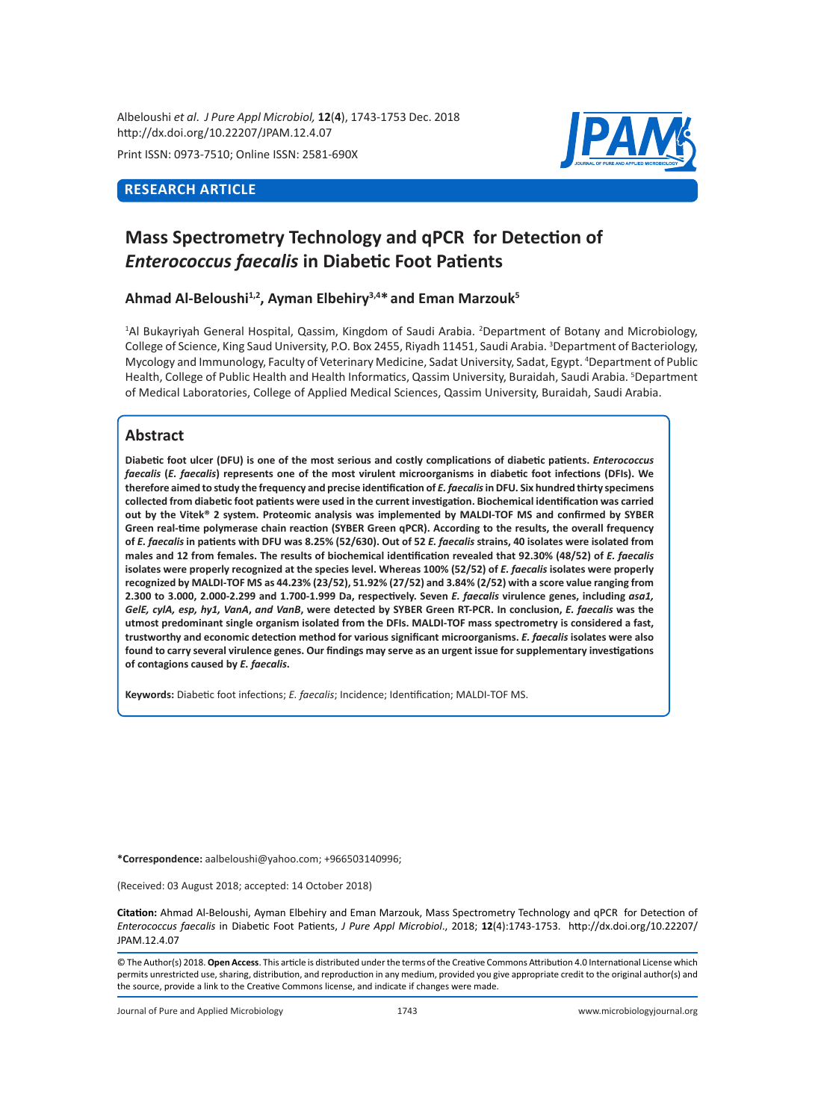Albeloushi *et al*. *J Pure Appl Microbiol,* **12**(**4**), 1743-1753 Dec. 2018 http://dx.doi.org/10.22207/JPAM.12.4.07

Print ISSN: 0973-7510; Online ISSN: 2581-690X

# **RESEARCH ARTICLE**



# **Mass Spectrometry Technology and qPCR for Detection of**  *Enterococcus faecalis* **in Diabetic Foot Patients**

## **Ahmad Al-Beloushi1,2, Ayman Elbehiry3,4\* and Eman Marzouk5**

<sup>1</sup>Al Bukayriyah General Hospital, Qassim, Kingdom of Saudi Arabia. <sup>2</sup>Department of Botany and Microbiology, College of Science, King Saud University, P.O. Box 2455, Riyadh 11451, Saudi Arabia. <sup>3</sup>Department of Bacteriology, Mycology and Immunology, Faculty of Veterinary Medicine, Sadat University, Sadat, Egypt. 4 Department of Public Health, College of Public Health and Health Informatics, Qassim University, Buraidah, Saudi Arabia. <sup>5</sup>Department of Medical Laboratories, College of Applied Medical Sciences, Qassim University, Buraidah, Saudi Arabia.

# **Abstract**

**Diabetic foot ulcer (DFU) is one of the most serious and costly complications of diabetic patients.** *Enterococcus faecalis* **(***E. faecalis***) represents one of the most virulent microorganisms in diabetic foot infections (DFIs). We**  therefore aimed to study the frequency and precise identification of *E. faecalis* in DFU. Six hundred thirty specimens **collected from diabetic foot patients were used in the current investigation. Biochemical identification was carried out by the Vitek® 2 system. Proteomic analysis was implemented by MALDI-TOF MS and confirmed by SYBER Green real-time polymerase chain reaction (SYBER Green qPCR). According to the results, the overall frequency of** *E. faecalis* **in patients with DFU was 8.25% (52/630). Out of 52** *E. faecalis* **strains, 40 isolates were isolated from**  males and 12 from females. The results of biochemical identification revealed that 92.30% (48/52) of *E. faecalis* isolates were properly recognized at the species level. Whereas 100% (52/52) of *E. faecalis* isolates were properly **recognized by MALDI-TOF MS as 44.23% (23/52), 51.92% (27/52) and 3.84% (2/52) with a score value ranging from 2.300 to 3.000, 2.000-2.299 and 1.700-1.999 Da, respectively. Seven** *E. faecalis* **virulence genes, including** *asa1, GelE, cylA, esp, hy1, VanA***,** *and VanB***, were detected by SYBER Green RT-PCR. In conclusion,** *E. faecalis* **was the utmost predominant single organism isolated from the DFIs. MALDI-TOF mass spectrometry is considered a fast, trustworthy and economic detection method for various significant microorganisms.** *E. faecalis* **isolates were also found to carry several virulence genes. Our findings may serve as an urgent issue for supplementary investigations of contagions caused by** *E. faecalis***.**

**Keywords:** Diabetic foot infections; *E. faecalis*; Incidence; Identification; MALDI-TOF MS.

**\*Correspondence:** aalbeloushi@yahoo.com; +966503140996;

(Received: 03 August 2018; accepted: 14 October 2018)

**Citation:** Ahmad Al-Beloushi, Ayman Elbehiry and Eman Marzouk, Mass Spectrometry Technology and qPCR for Detection of *Enterococcus faecalis* in Diabetic Foot Patients, *J Pure Appl Microbiol*., 2018; **12**(4):1743-1753. http://dx.doi.org/10.22207/ JPAM.12.4.07

© The Author(s) 2018. **Open Access**. This article is distributed under the terms of the Creative Commons Attribution 4.0 International License which permits unrestricted use, sharing, distribution, and reproduction in any medium, provided you give appropriate credit to the original author(s) and the source, provide a link to the Creative Commons license, and indicate if changes were made.

Journal of Pure and Applied Microbiology 1743 www.microbiologyjournal.org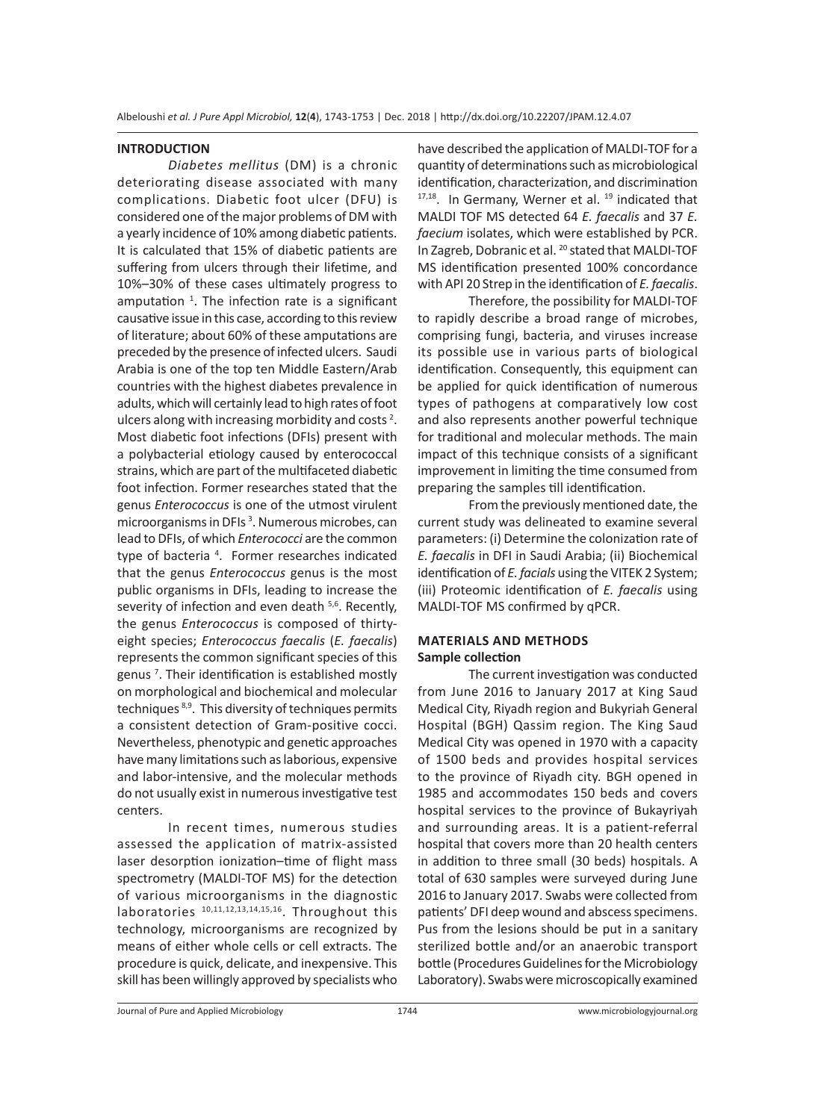#### **INTRODUCTION**

*Diabetes mellitus* (DM) is a chronic deteriorating disease associated with many complications. Diabetic foot ulcer (DFU) is considered one of the major problems of DM with a yearly incidence of 10% among diabetic patients. It is calculated that 15% of diabetic patients are suffering from ulcers through their lifetime, and 10%–30% of these cases ultimately progress to amputation  $1$ . The infection rate is a significant causative issue in this case, according to this review of literature; about 60% of these amputations are preceded by the presence of infected ulcers. Saudi Arabia is one of the top ten Middle Eastern/Arab countries with the highest diabetes prevalence in adults, which will certainly lead to high rates of foot ulcers along with increasing morbidity and costs<sup>2</sup>. Most diabetic foot infections (DFIs) present with a polybacterial etiology caused by enterococcal strains, which are part of the multifaceted diabetic foot infection. Former researches stated that the genus *Enterococcus* is one of the utmost virulent microorganisms in DFIs<sup>3</sup>. Numerous microbes, can lead to DFIs, of which *Enterococci* are the common type of bacteria<sup>4</sup>. Former researches indicated that the genus *Enterococcus* genus is the most public organisms in DFIs, leading to increase the severity of infection and even death <sup>5,6</sup>. Recently, the genus *Enterococcus* is composed of thirtyeight species; *Enterococcus faecalis* (*E. faecalis*) represents the common significant species of this genus <sup>7</sup> . Their identification is established mostly on morphological and biochemical and molecular techniques 8,9. This diversity of techniques permits a consistent detection of Gram-positive cocci. Nevertheless, phenotypic and genetic approaches have many limitations such as laborious, expensive and labor-intensive, and the molecular methods do not usually exist in numerous investigative test centers.

In recent times, numerous studies assessed the application of matrix-assisted laser desorption ionization–time of flight mass spectrometry (MALDI-TOF MS) for the detection of various microorganisms in the diagnostic laboratories<sup>10,11,12,13,14,15,16</sup>. Throughout this technology, microorganisms are recognized by means of either whole cells or cell extracts. The procedure is quick, delicate, and inexpensive. This skill has been willingly approved by specialists who have described the application of MALDI-TOF for a quantity of determinations such as microbiological identification, characterization, and discrimination  $17,18$ . In Germany, Werner et al.  $19$  indicated that MALDI TOF MS detected 64 *E. faecalis* and 37 *E. faecium* isolates, which were established by PCR. In Zagreb, Dobranic et al. 20 stated that MALDI-TOF MS identification presented 100% concordance with API 20 Strep in the identification of *E. faecalis*.

Therefore, the possibility for MALDI-TOF to rapidly describe a broad range of microbes, comprising fungi, bacteria, and viruses increase its possible use in various parts of biological identification. Consequently, this equipment can be applied for quick identification of numerous types of pathogens at comparatively low cost and also represents another powerful technique for traditional and molecular methods. The main impact of this technique consists of a significant improvement in limiting the time consumed from preparing the samples till identification.

From the previously mentioned date, the current study was delineated to examine several parameters: (i) Determine the colonization rate of *E. faecalis* in DFI in Saudi Arabia; (ii) Biochemical identification of *E. facials* using the VITEK 2 System; (iii) Proteomic identification of *E. faecalis* using MALDI-TOF MS confirmed by qPCR.

## **MATERIALS AND METHODS Sample collection**

The current investigation was conducted from June 2016 to January 2017 at King Saud Medical City, Riyadh region and Bukyriah General Hospital (BGH) Qassim region. The King Saud Medical City was opened in 1970 with a capacity of 1500 beds and provides hospital services to the province of Riyadh city. BGH opened in 1985 and accommodates 150 beds and covers hospital services to the province of Bukayriyah and surrounding areas. It is a patient-referral hospital that covers more than 20 health centers in addition to three small (30 beds) hospitals. A total of 630 samples were surveyed during June 2016 to January 2017. Swabs were collected from patients' DFI deep wound and abscess specimens. Pus from the lesions should be put in a sanitary sterilized bottle and/or an anaerobic transport bottle (Procedures Guidelines for the Microbiology Laboratory). Swabs were microscopically examined

Journal of Pure and Applied Microbiology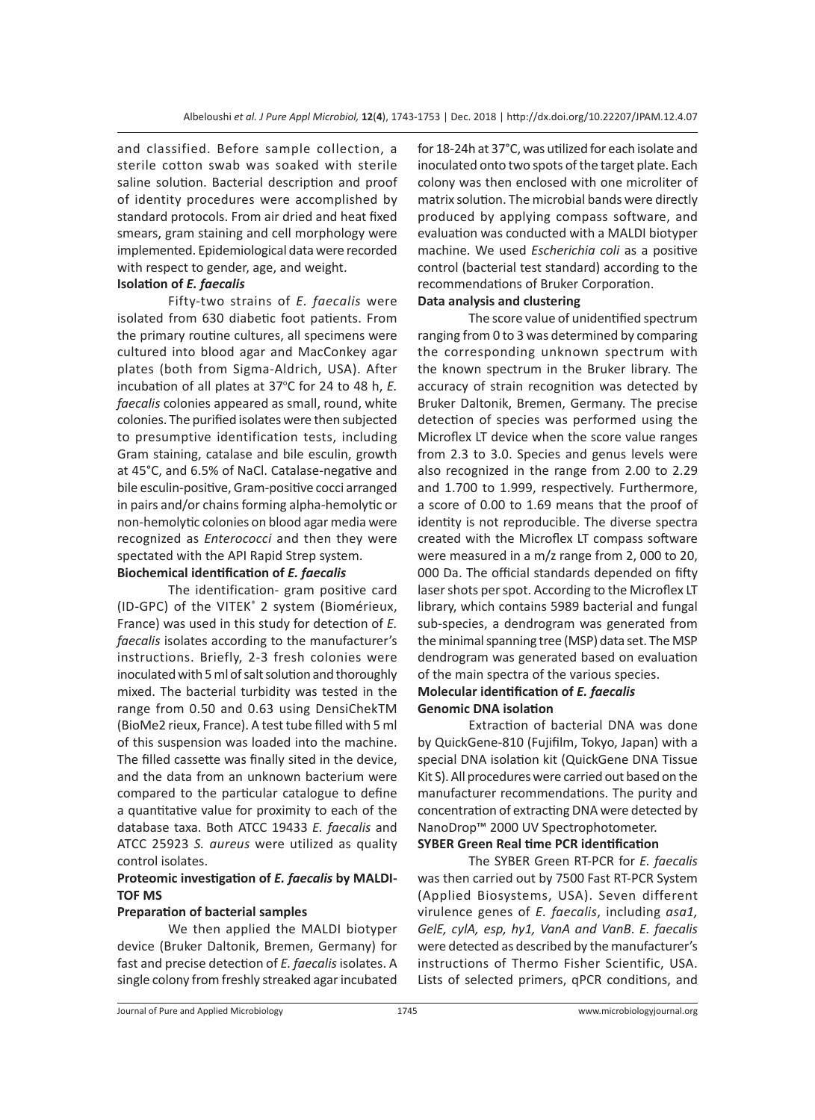and classified. Before sample collection, a sterile cotton swab was soaked with sterile saline solution. Bacterial description and proof of identity procedures were accomplished by standard protocols. From air dried and heat fixed smears, gram staining and cell morphology were implemented. Epidemiological data were recorded with respect to gender, age, and weight.

#### **Isolation of** *E. faecalis*

Fifty-two strains of *E. faecalis* were isolated from 630 diabetic foot patients. From the primary routine cultures, all specimens were cultured into blood agar and MacConkey agar plates (both from Sigma-Aldrich, USA). After incubation of all plates at 37°C for 24 to 48 h, E. *faecalis* colonies appeared as small, round, white colonies. The purified isolates were then subjected to presumptive identification tests, including Gram staining, catalase and bile esculin, growth at 45°C, and 6.5% of NaCl. Catalase-negative and bile esculin-positive, Gram-positive cocci arranged in pairs and/or chains forming alpha-hemolytic or non-hemolytic colonies on blood agar media were recognized as *Enterococci* and then they were spectated with the API Rapid Strep system.

## **Biochemical identification of** *E. faecalis*

The identification- gram positive card (ID-GPC) of the VITEK® 2 system (Biomérieux, France) was used in this study for detection of *E. faecalis* isolates according to the manufacturer's instructions. Briefly, 2-3 fresh colonies were inoculated with 5 ml of salt solution and thoroughly mixed. The bacterial turbidity was tested in the range from 0.50 and 0.63 using DensiChekTM (BioMe2 rieux, France). A test tube filled with 5 ml of this suspension was loaded into the machine. The filled cassette was finally sited in the device, and the data from an unknown bacterium were compared to the particular catalogue to define a quantitative value for proximity to each of the database taxa. Both ATCC 19433 *E. faecalis* and ATCC 25923 *S. aureus* were utilized as quality control isolates.

## **Proteomic investigation of** *E. faecalis* **by MALDI-TOF MS**

## **Preparation of bacterial samples**

We then applied the MALDI biotyper device (Bruker Daltonik, Bremen, Germany) for fast and precise detection of *E. faecalis* isolates. A single colony from freshly streaked agar incubated for 18-24h at 37°C, was utilized for each isolate and inoculated onto two spots of the target plate. Each colony was then enclosed with one microliter of matrix solution. The microbial bands were directly produced by applying compass software, and evaluation was conducted with a MALDI biotyper machine. We used *Escherichia coli* as a positive control (bacterial test standard) according to the recommendations of Bruker Corporation.

## **Data analysis and clustering**

The score value of unidentified spectrum ranging from 0 to 3 was determined by comparing the corresponding unknown spectrum with the known spectrum in the Bruker library. The accuracy of strain recognition was detected by Bruker Daltonik, Bremen, Germany. The precise detection of species was performed using the Microflex LT device when the score value ranges from 2.3 to 3.0. Species and genus levels were also recognized in the range from 2.00 to 2.29 and 1.700 to 1.999, respectively. Furthermore, a score of 0.00 to 1.69 means that the proof of identity is not reproducible. The diverse spectra created with the Microflex LT compass software were measured in a m/z range from 2, 000 to 20, 000 Da. The official standards depended on fifty laser shots per spot. According to the Microflex LT library, which contains 5989 bacterial and fungal sub-species, a dendrogram was generated from the minimal spanning tree (MSP) data set. The MSP dendrogram was generated based on evaluation of the main spectra of the various species. **Molecular identification of** *E. faecalis*

#### **Genomic DNA isolation**

Extraction of bacterial DNA was done by QuickGene-810 (Fujifilm, Tokyo, Japan) with a special DNA isolation kit (QuickGene DNA Tissue Kit S). All procedures were carried out based on the manufacturer recommendations. The purity and concentration of extracting DNA were detected by NanoDrop™ 2000 UV Spectrophotometer.

## **SYBER Green Real time PCR identification**

The SYBER Green RT-PCR for *E. faecalis* was then carried out by 7500 Fast RT-PCR System (Applied Biosystems, USA). Seven different virulence genes of *E. faecalis*, including *asa1, GelE, cylA, esp, hy1, VanA and VanB*. *E. faecalis* were detected as described by the manufacturer's instructions of Thermo Fisher Scientific, USA. Lists of selected primers, qPCR conditions, and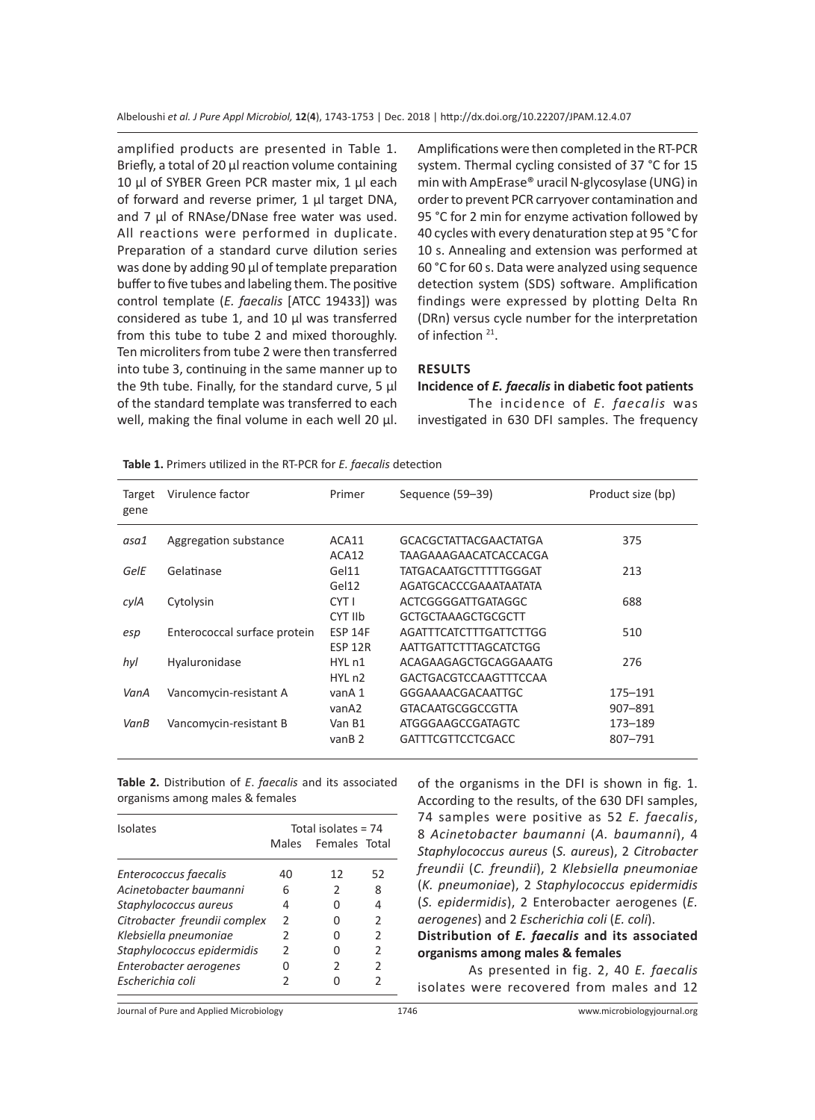amplified products are presented in Table 1. Briefly, a total of 20 µl reaction volume containing 10 µl of SYBER Green PCR master mix, 1 µl each of forward and reverse primer, 1 µl target DNA, and 7 µl of RNAse/DNase free water was used. All reactions were performed in duplicate. Preparation of a standard curve dilution series was done by adding 90 µl of template preparation buffer to five tubes and labeling them. The positive control template (*E. faecalis* [ATCC 19433]) was considered as tube 1, and 10 µl was transferred from this tube to tube 2 and mixed thoroughly. Ten microliters from tube 2 were then transferred into tube 3, continuing in the same manner up to the 9th tube. Finally, for the standard curve, 5 µl of the standard template was transferred to each well, making the final volume in each well 20 µl. Amplifications were then completed in the RT-PCR system. Thermal cycling consisted of 37 °C for 15 min with AmpErase® uracil N-glycosylase (UNG) in order to prevent PCR carryover contamination and 95 °C for 2 min for enzyme activation followed by 40 cycles with every denaturation step at 95 °C for 10 s. Annealing and extension was performed at 60 °C for 60 s. Data were analyzed using sequence detection system (SDS) software. Amplification findings were expressed by plotting Delta Rn (DRn) versus cycle number for the interpretation of infection<sup>21</sup>.

#### **RESULTS**

#### **Incidence of** *E. faecalis* **in diabetic foot patients**

The incidence of *E. faecalis* was investigated in 630 DFI samples. The frequency

| Target<br>gene | Virulence factor             | Primer                        | Sequence (59–39)             | Product size (bp) |
|----------------|------------------------------|-------------------------------|------------------------------|-------------------|
| asa1           | Aggregation substance        | ACA11                         | <b>GCACGCTATTACGAACTATGA</b> | 375               |
|                |                              | ACA12                         | TAAGAAAGAACATCACCACGA        |                   |
| GelE           | Gelatinase                   | Gel11                         | TATGACAATGCTTTTTGGGAT        | 213               |
|                |                              | Gel12                         | AGATGCACCCGAAATAATATA        |                   |
| cylA           | Cytolysin                    | CYT I                         | ACTCGGGGATTGATAGGC           | 688               |
|                |                              | CYT IIb                       | GCTGCTAAAGCTGCGCTT           |                   |
| esp            | Enterococcal surface protein | <b>ESP 14F</b>                | AGATTTCATCTTTGATTCTTGG       | 510               |
|                |                              | <b>ESP 12R</b>                | AATTGATTCTTTAGCATCTGG        |                   |
| hyl            | Hyaluronidase                | HYL <sub>n1</sub>             | ACAGAAGAGCTGCAGGAAATG        | 276               |
|                |                              | HYL <sub>n2</sub>             | GACTGACGTCCAAGTTTCCAA        |                   |
| VanA           | Vancomycin-resistant A       | vanA 1                        | GGGAAAACGACAATTGC            | 175-191           |
|                |                              | vanA2                         | <b>GTACAATGCGGCCGTTA</b>     | 907-891           |
| VanB           | Vancomycin-resistant B       | Van B1                        | ATGGGAAGCCGATAGTC            | 173-189           |
|                |                              | van <sub>B</sub> <sub>2</sub> | <b>GATTTCGTTCCTCGACC</b>     | 807-791           |
|                |                              |                               |                              |                   |

**Table 1.** Primers utilized in the RT-PCR for *E. faecalis* detection

**Table 2.** Distribution of *E*. *faecalis* and its associated organisms among males & females

| <b>Isolates</b>              | Total isolates = 74 |                |               |  |
|------------------------------|---------------------|----------------|---------------|--|
|                              | Males               | Females Total  |               |  |
| Enterococcus faecalis        | 40                  | 12             | 52            |  |
| Acinetobacter baumanni       | 6                   | 2              | 8             |  |
| Staphylococcus aureus        | 4                   | U              | 4             |  |
| Citrobacter freundii complex | $\mathcal{P}$       | U              | $\mathcal{L}$ |  |
| Klebsiella pneumoniae        | $\mathcal{P}$       | U              | $\mathcal{P}$ |  |
| Staphylococcus epidermidis   | $\mathcal{P}$       | U              | $\mathcal{P}$ |  |
| Enterobacter aerogenes       | U                   | $\mathfrak{p}$ | $\mathcal{P}$ |  |
| Escherichia coli             | 2                   |                |               |  |

of the organisms in the DFI is shown in fig. 1. According to the results, of the 630 DFI samples, 74 samples were positive as 52 *E. faecalis*, 8 *Acinetobacter baumanni* (*A. baumanni*), 4 *Staphylococcus aureus* (*S. aureus*), 2 *Citrobacter freundii* (*C. freundii*), 2 *Klebsiella pneumoniae* (*K. pneumoniae*), 2 *Staphylococcus epidermidis* (*S. epidermidis*), 2 Enterobacter aerogenes (*E. aerogenes*) and 2 *Escherichia coli* (*E. coli*). **Distribution of** *E. faecalis* **and its associated organisms among males & females**

As presented in fig. 2, 40 *E. faecalis* isolates were recovered from males and 12

Journal of Pure and Applied Microbiology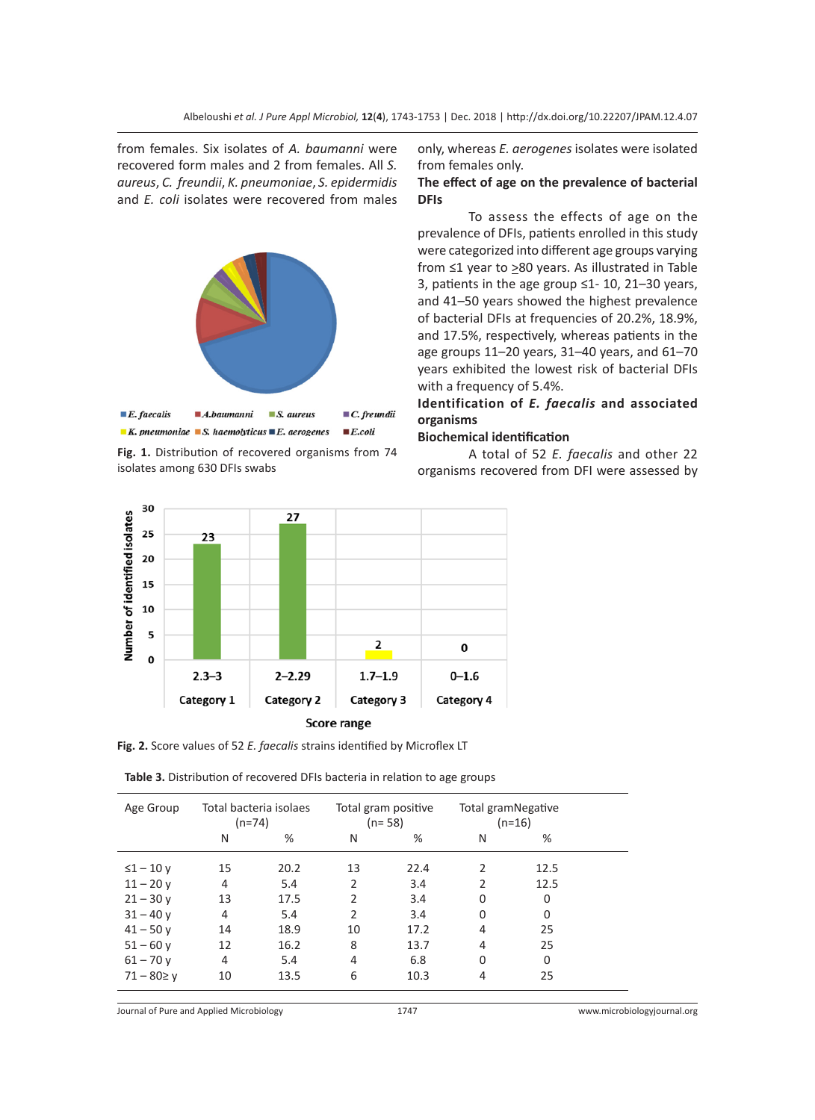from females. Six isolates of *A. baumanni* were recovered form males and 2 from females. All *S. aureus*, *C. freundii*, *K. pneumoniae*, *S. epidermidis* and *E. coli* isolates were recovered from males



**Fig. 1.** Distribution of recovered organisms from 74 isolates among 630 DFIs swabs

only, whereas *E. aerogenes* isolates were isolated from females only.

#### **The effect of age on the prevalence of bacterial DFIs**

To assess the effects of age on the prevalence of DFIs, patients enrolled in this study were categorized into different age groups varying from ≤1 year to ≥80 years. As illustrated in Table 3, patients in the age group ≤1- 10, 21–30 years, and 41–50 years showed the highest prevalence of bacterial DFIs at frequencies of 20.2%, 18.9%, and 17.5%, respectively, whereas patients in the age groups 11–20 years, 31–40 years, and 61–70 years exhibited the lowest risk of bacterial DFIs with a frequency of 5.4%.

## **Identification of** *E. faecalis* **and associated organisms**

#### **Biochemical identification**

A total of 52 *E. faecalis* and other 22 organisms recovered from DFI were assessed by



**Fig. 2.** Score values of 52 *E. faecalis* strains identified by Microflex LT

| Table 3. Distribution of recovered DFIs bacteria in relation to age groups |  |  |
|----------------------------------------------------------------------------|--|--|
|----------------------------------------------------------------------------|--|--|

| Age Group        | Total bacteria isolaes<br>$(n=74)$ |      | Total gram positive<br>$(n=58)$ |      | Total gramNegative<br>$(n=16)$ |          |  |
|------------------|------------------------------------|------|---------------------------------|------|--------------------------------|----------|--|
|                  | N                                  | %    | N                               | %    | N                              | %        |  |
| $\leq$ 1 - 10 y  | 15                                 | 20.2 | 13                              | 22.4 | $\mathfrak{p}$                 | 12.5     |  |
| $11 - 20v$       | 4                                  | 5.4  | 2                               | 3.4  | $\mathcal{P}$                  | 12.5     |  |
| $21 - 30y$       | 13                                 | 17.5 | $\mathfrak{p}$                  | 3.4  | 0                              | 0        |  |
| $31 - 40v$       | 4                                  | 5.4  | $\mathfrak{p}$                  | 3.4  | <sup>0</sup>                   | $\Omega$ |  |
| $41 - 50y$       | 14                                 | 18.9 | 10                              | 17.2 | 4                              | 25       |  |
| $51 - 60y$       | 12                                 | 16.2 | 8                               | 13.7 | 4                              | 25       |  |
| $61 - 70y$       | 4                                  | 5.4  | 4                               | 6.8  | $\Omega$                       | 0        |  |
| $71 - 80 \geq y$ | 10                                 | 13.5 | 6                               | 10.3 | 4                              | 25       |  |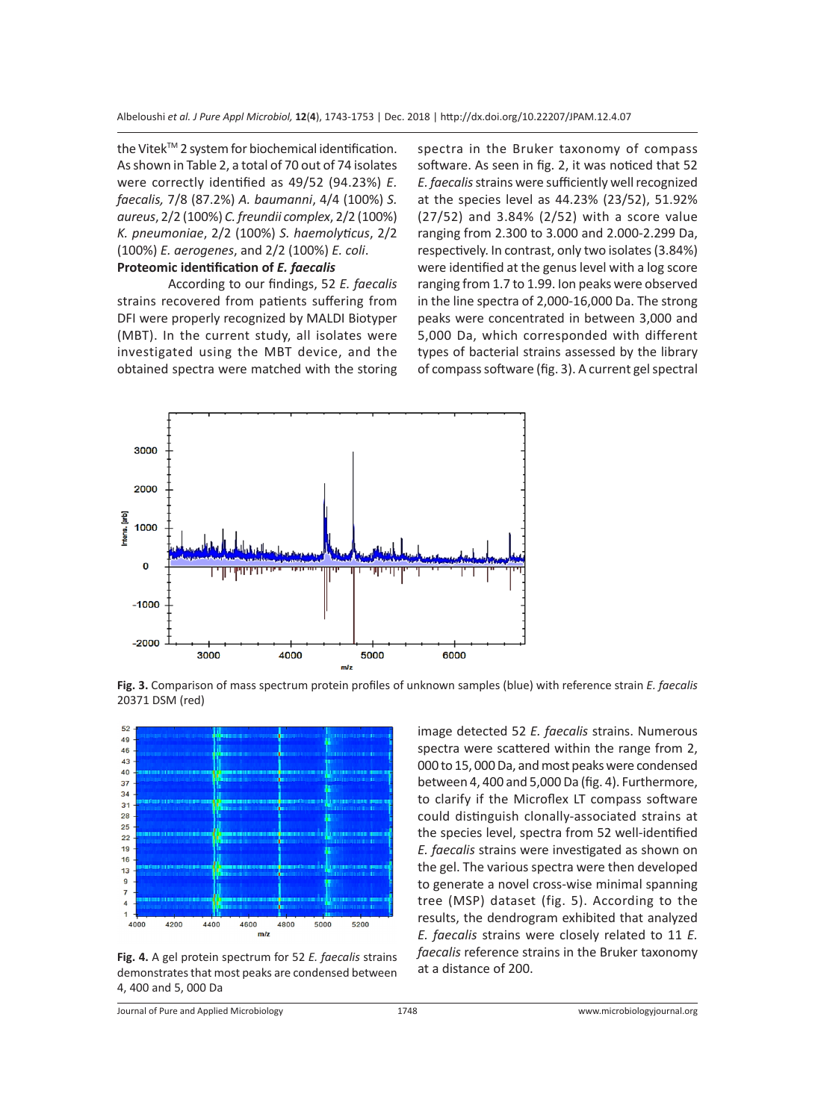the Vitek™ 2 system for biochemical identification. As shown in Table 2, a total of 70 out of 74 isolates were correctly identified as 49/52 (94.23%) *E. faecalis,* 7/8 (87.2%) *A. baumanni*, 4/4 (100%) *S. aureus*, 2/2 (100%) *C. freundii complex*, 2/2 (100%) *K. pneumoniae*, 2/2 (100%) *S. haemolyticus*, 2/2 (100%) *E. aerogenes*, and 2/2 (100%) *E. coli*. **Proteomic identification of** *E. faecalis*

According to our findings, 52 *E. faecalis* strains recovered from patients suffering from DFI were properly recognized by MALDI Biotyper (MBT). In the current study, all isolates were investigated using the MBT device, and the obtained spectra were matched with the storing spectra in the Bruker taxonomy of compass software. As seen in fig. 2, it was noticed that 52 *E. faecalis* strains were sufficiently well recognized at the species level as 44.23% (23/52), 51.92% (27/52) and 3.84% (2/52) with a score value ranging from 2.300 to 3.000 and 2.000-2.299 Da, respectively. In contrast, only two isolates (3.84%) were identified at the genus level with a log score ranging from 1.7 to 1.99. Ion peaks were observed in the line spectra of 2,000-16,000 Da. The strong peaks were concentrated in between 3,000 and 5,000 Da, which corresponded with different types of bacterial strains assessed by the library of compass software (fig. 3). A current gel spectral



**Fig. 3.** Comparison of mass spectrum protein profiles of unknown samples (blue) with reference strain *E. faecalis*  20371 DSM (red)



**Fig. 4.** A gel protein spectrum for 52 *E. faecalis* strains demonstrates that most peaks are condensed between 4, 400 and 5, 000 Da

image detected 52 *E. faecalis* strains. Numerous spectra were scattered within the range from 2, 000 to 15, 000 Da, and most peaks were condensed between 4, 400 and 5,000 Da (fig. 4). Furthermore, to clarify if the Microflex LT compass software could distinguish clonally-associated strains at the species level, spectra from 52 well-identified *E. faecalis* strains were investigated as shown on the gel. The various spectra were then developed to generate a novel cross-wise minimal spanning tree (MSP) dataset (fig. 5). According to the results, the dendrogram exhibited that analyzed *E. faecalis* strains were closely related to 11 *E. faecalis* reference strains in the Bruker taxonomy at a distance of 200.

Journal of Pure and Applied Microbiology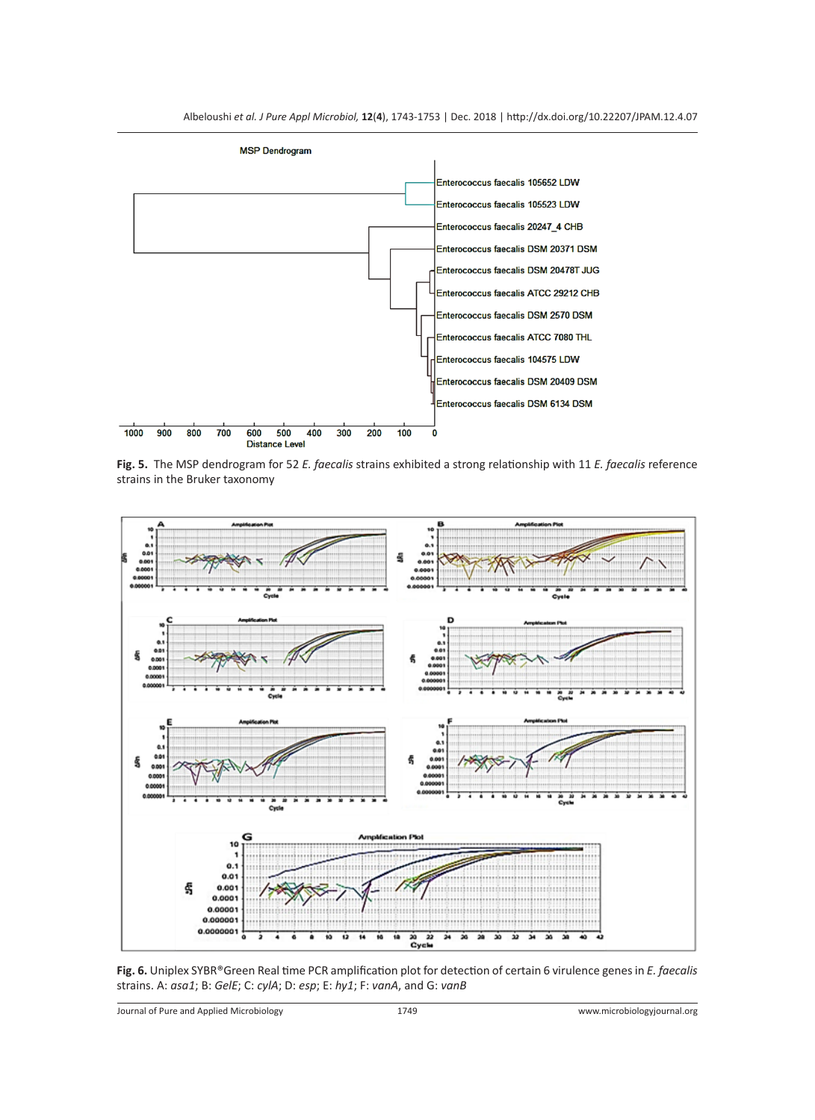

**Fig. 5.** The MSP dendrogram for 52 *E. faecalis* strains exhibited a strong relationship with 11 *E. faecalis* reference strains in the Bruker taxonomy



**Fig. 6.** Uniplex SYBR®Green Real time PCR amplification plot for detection of certain 6 virulence genes in *E. faecalis* strains. A: *asa1*; B: *GelE*; C: *cylA*; D: *esp*; E: *hy1*; F: *vanA*, and G: *vanB*

Journal of Pure and Applied Microbiology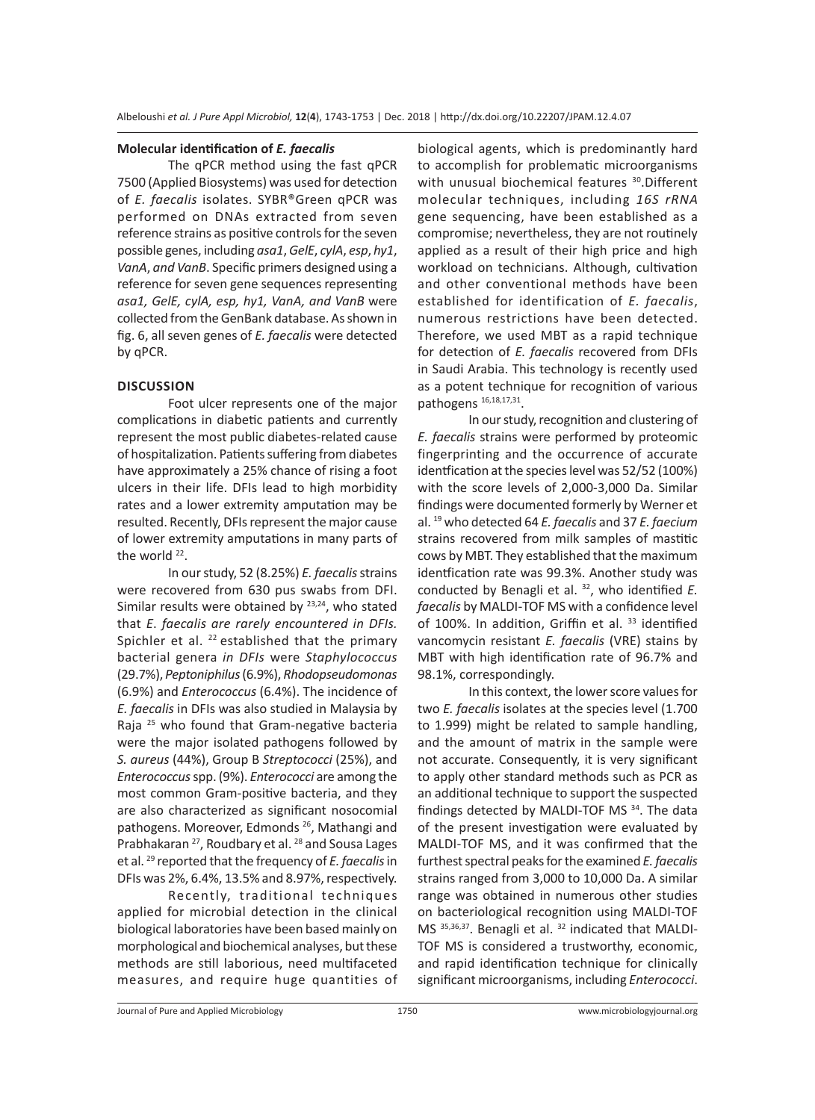#### **Molecular identification of** *E. faecalis*

The qPCR method using the fast qPCR 7500 (Applied Biosystems) was used for detection of *E. faecalis* isolates. SYBR®Green qPCR was performed on DNAs extracted from seven reference strains as positive controls for the seven possible genes, including *asa1*, *GelE*, *cylA*, *esp*, *hy1*, *VanA*, *and VanB*. Specific primers designed using a reference for seven gene sequences representing *asa1, GelE, cylA, esp, hy1, VanA, and VanB* were collected from the GenBank database. As shown in fig. 6, all seven genes of *E. faecalis* were detected by qPCR.

#### **DISCUSSION**

Foot ulcer represents one of the major complications in diabetic patients and currently represent the most public diabetes-related cause of hospitalization. Patients suffering from diabetes have approximately a 25% chance of rising a foot ulcers in their life. DFIs lead to high morbidity rates and a lower extremity amputation may be resulted. Recently, DFIs represent the major cause of lower extremity amputations in many parts of the world <sup>22</sup>.

In our study, 52 (8.25%) *E. faecalis* strains were recovered from 630 pus swabs from DFI. Similar results were obtained by  $23,24$ , who stated that *E*. *faecalis are rarely encountered in DFIs.*  Spichler et al.  $^{22}$  established that the primary bacterial genera *in DFIs* were *Staphylococcus* (29.7%), *Peptoniphilus* (6.9%), *Rhodopseudomonas* (6.9%) and *Enterococcus* (6.4%). The incidence of *E. faecalis* in DFIs was also studied in Malaysia by Raja <sup>25</sup> who found that Gram-negative bacteria were the major isolated pathogens followed by *S. aureus* (44%), Group B *Streptococci* (25%), and *Enterococcus* spp. (9%). *Enterococci* are among the most common Gram-positive bacteria, and they are also characterized as significant nosocomial pathogens. Moreover, Edmonds<sup>26</sup>, Mathangi and Prabhakaran <sup>27</sup>, Roudbary et al. <sup>28</sup> and Sousa Lages et al. 29 reported that the frequency of *E. faecalis* in DFIs was 2%, 6.4%, 13.5% and 8.97%, respectively.

Recently, traditional techniques applied for microbial detection in the clinical biological laboratories have been based mainly on morphological and biochemical analyses, but these methods are still laborious, need multifaceted measures, and require huge quantities of biological agents, which is predominantly hard to accomplish for problematic microorganisms with unusual biochemical features <sup>30</sup>. Different molecular techniques, including *16S rRNA* gene sequencing, have been established as a compromise; nevertheless, they are not routinely applied as a result of their high price and high workload on technicians. Although, cultivation and other conventional methods have been established for identification of *E. faecalis*, numerous restrictions have been detected. Therefore, we used MBT as a rapid technique for detection of *E. faecalis* recovered from DFIs in Saudi Arabia. This technology is recently used as a potent technique for recognition of various pathogens<sup>16,18,17,31</sup>.

In our study, recognition and clustering of *E. faecalis* strains were performed by proteomic fingerprinting and the occurrence of accurate identfication at the species level was 52/52 (100%) with the score levels of 2,000-3,000 Da. Similar findings were documented formerly by Werner et al. 19 who detected 64 *E. faecalis* and 37 *E. faecium* strains recovered from milk samples of mastitic cows by MBT. They established that the maximum identfication rate was 99.3%. Another study was conducted by Benagli et al. 32, who identified *E. faecalis* by MALDI-TOF MS with a confidence level of 100%. In addition, Griffin et al. <sup>33</sup> identified vancomycin resistant *E. faecalis* (VRE) stains by MBT with high identification rate of 96.7% and 98.1%, correspondingly.

In this context, the lower score values for two *E. faecalis* isolates at the species level (1.700 to 1.999) might be related to sample handling, and the amount of matrix in the sample were not accurate. Consequently, it is very significant to apply other standard methods such as PCR as an additional technique to support the suspected findings detected by MALDI-TOF MS 34. The data of the present investigation were evaluated by MALDI-TOF MS, and it was confirmed that the furthest spectral peaks for the examined *E. faecalis* strains ranged from 3,000 to 10,000 Da. A similar range was obtained in numerous other studies on bacteriological recognition using MALDI-TOF MS 35,36,37. Benagli et al. 32 indicated that MALDI-TOF MS is considered a trustworthy, economic, and rapid identification technique for clinically significant microorganisms, including *Enterococci*.

Journal of Pure and Applied Microbiology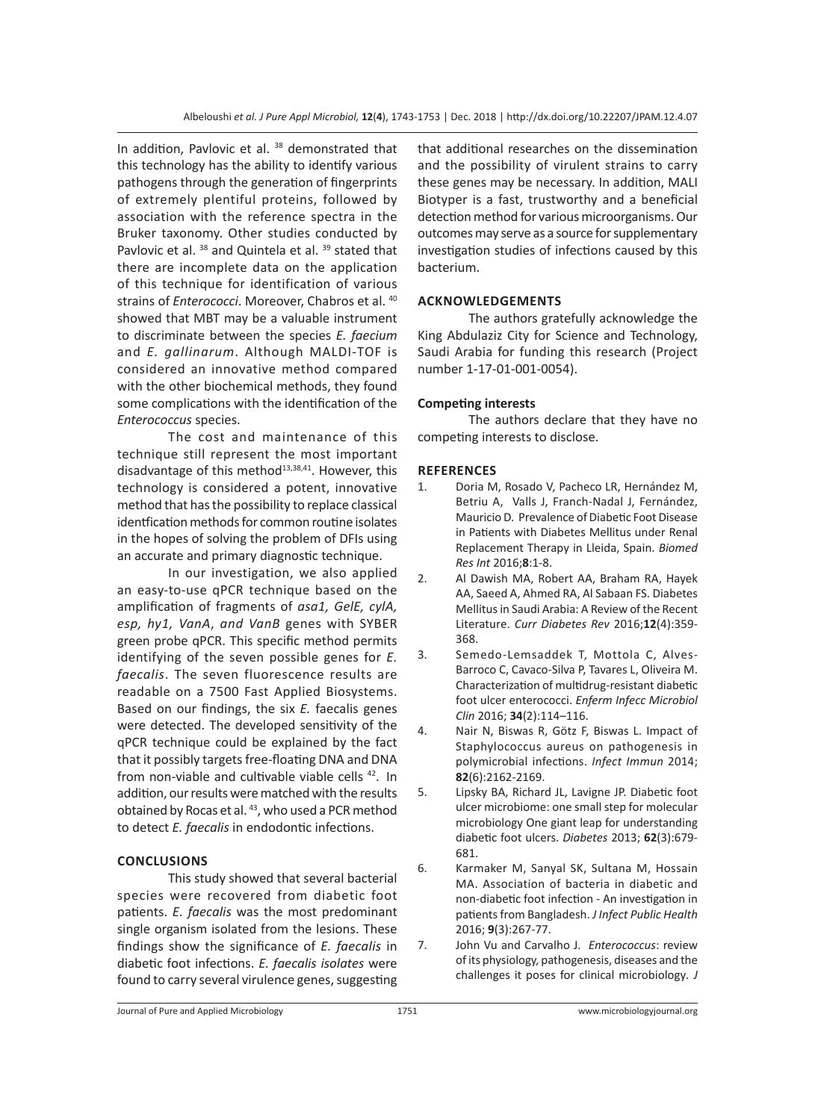In addition, Pavlovic et al. <sup>38</sup> demonstrated that this technology has the ability to identify various pathogens through the generation of fingerprints of extremely plentiful proteins, followed by association with the reference spectra in the Bruker taxonomy. Other studies conducted by Pavlovic et al. <sup>38</sup> and Quintela et al. <sup>39</sup> stated that there are incomplete data on the application of this technique for identification of various strains of *Enterococci*. Moreover, Chabros et al. <sup>40</sup> showed that MBT may be a valuable instrument to discriminate between the species *E. faecium* and *E. gallinarum*. Although MALDI-TOF is considered an innovative method compared with the other biochemical methods, they found some complications with the identification of the *Enterococcus* species.

The cost and maintenance of this technique still represent the most important disadvantage of this method $13,38,41$ . However, this technology is considered a potent, innovative method that has the possibility to replace classical identfication methods for common routine isolates in the hopes of solving the problem of DFIs using an accurate and primary diagnostic technique.

In our investigation, we also applied an easy-to-use qPCR technique based on the amplification of fragments of *asa1, GelE, cylA, esp, hy1, VanA*, *and VanB* genes with SYBER green probe qPCR. This specific method permits identifying of the seven possible genes for *E. faecalis*. The seven fluorescence results are readable on a 7500 Fast Applied Biosystems. Based on our findings, the six *E.* faecalis genes were detected. The developed sensitivity of the qPCR technique could be explained by the fact that it possibly targets free-floating DNA and DNA from non-viable and cultivable viable cells <sup>42</sup>. In addition, our results were matched with the results obtained by Rocas et al. 43, who used a PCR method to detect *E. faecalis* in endodontic infections.

## **CONCLUSIONS**

This study showed that several bacterial species were recovered from diabetic foot patients. *E. faecalis* was the most predominant single organism isolated from the lesions. These findings show the significance of *E. faecalis* in diabetic foot infections. *E. faecalis isolates* were found to carry several virulence genes, suggesting that additional researches on the dissemination and the possibility of virulent strains to carry these genes may be necessary. In addition, MALI Biotyper is a fast, trustworthy and a beneficial detection method for various microorganisms. Our outcomes may serve as a source for supplementary investigation studies of infections caused by this bacterium.

## **ACKNOWLEDGEMENTS**

The authors gratefully acknowledge the King Abdulaziz City for Science and Technology, Saudi Arabia for funding this research (Project number 1-17-01-001-0054).

## **Competing interests**

The authors declare that they have no competing interests to disclose.

## **REFERENCES**

- 1. Doria M, Rosado V, Pacheco LR, Hernández M, Betriu A, Valls J, Franch-Nadal J, Fernández, Mauricio D. Prevalence of Diabetic Foot Disease in Patients with Diabetes Mellitus under Renal Replacement Therapy in Lleida, Spain. *Biomed Res Int* 2016;**8**:1-8.
- 2. Al Dawish MA, Robert AA, Braham RA, Hayek AA, Saeed A, Ahmed RA, Al Sabaan FS. Diabetes Mellitus in Saudi Arabia: A Review of the Recent Literature. *Curr Diabetes Rev* 2016;**12**(4):359- 368.
- 3. Semedo-Lemsaddek T, Mottola C, Alves-Barroco C, Cavaco-Silva P, Tavares L, Oliveira M. Characterization of multidrug-resistant diabetic foot ulcer enterococci. *Enferm Infecc Microbiol Clin* 2016; **34**(2):114–116.
- 4. Nair N, Biswas R, Götz F, Biswas L. Impact of Staphylococcus aureus on pathogenesis in polymicrobial infections. *Infect Immun* 2014; **82**(6):2162-2169.
- 5. Lipsky BA, Richard JL, Lavigne JP. Diabetic foot ulcer microbiome: one small step for molecular microbiology One giant leap for understanding diabetic foot ulcers. *Diabetes* 2013; **62**(3):679- 681.
- 6. Karmaker M, Sanyal SK, Sultana M, Hossain MA. Association of bacteria in diabetic and non-diabetic foot infection - An investigation in patients from Bangladesh. *J Infect Public Health* 2016; **9**(3):267-77.
- 7. John Vu and Carvalho J. *Enterococcus*: review of its physiology, pathogenesis, diseases and the challenges it poses for clinical microbiology*. J*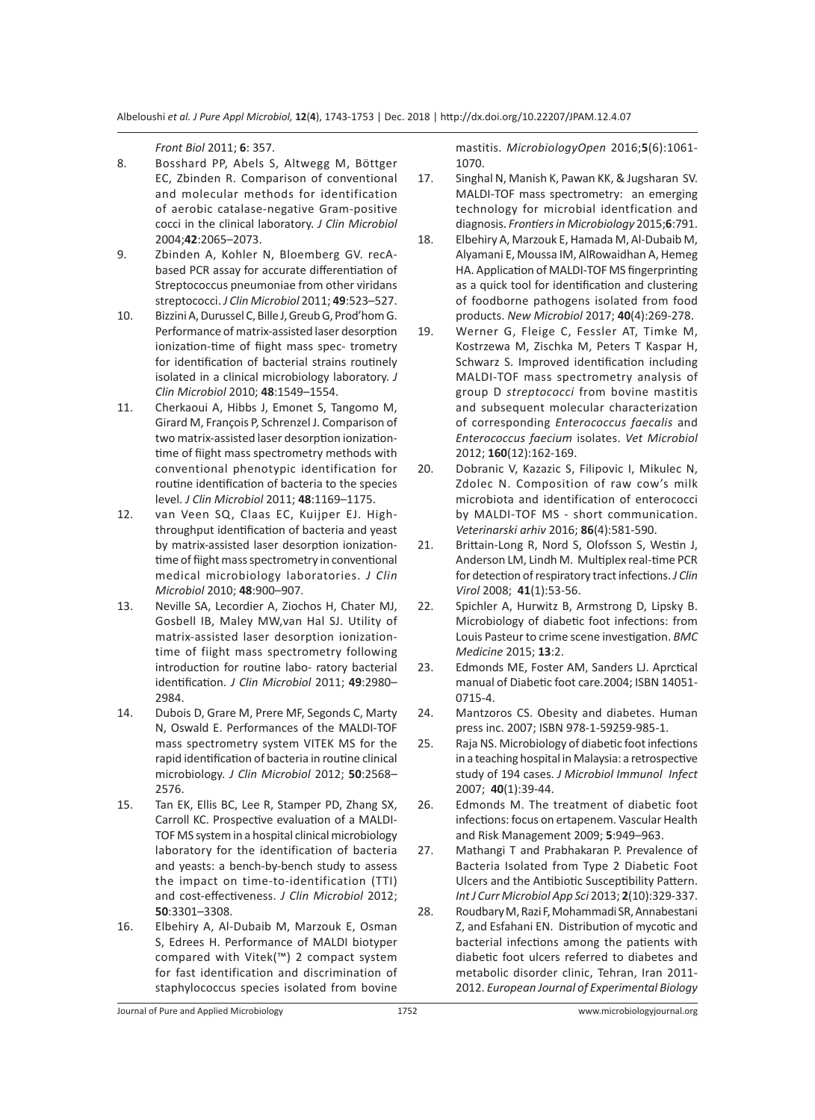*Front Biol* 2011; **6**: 357.

- 8. Bosshard PP, Abels S, Altwegg M, Böttger EC, Zbinden R. Comparison of conventional and molecular methods for identification of aerobic catalase-negative Gram-positive cocci in the clinical laboratory. *J Clin Microbiol* 2004;**42**:2065–2073.
- 9. Zbinden A, Kohler N, Bloemberg GV. recAbased PCR assay for accurate differentiation of Streptococcus pneumoniae from other viridans streptococci. *J Clin Microbiol* 2011; **49**:523–527.
- 10. Bizzini A, Durussel C, Bille J, Greub G, Prod'hom G. Performance of matrix-assisted laser desorption ionization-time of fiight mass spec- trometry for identification of bacterial strains routinely isolated in a clinical microbiology laboratory. *J Clin Microbiol* 2010; **48**:1549–1554.
- 11. Cherkaoui A, Hibbs J, Emonet S, Tangomo M, Girard M, François P, Schrenzel J. Comparison of two matrix-assisted laser desorption ionizationtime of fiight mass spectrometry methods with conventional phenotypic identification for routine identification of bacteria to the species level. *J Clin Microbiol* 2011; **48**:1169–1175.
- 12. van Veen SQ, Claas EC, Kuijper EJ. Highthroughput identification of bacteria and yeast by matrix-assisted laser desorption ionizationtime of fiight mass spectrometry in conventional medical microbiology laboratories. *J Clin Microbiol* 2010; **48**:900–907.
- 13. Neville SA, Lecordier A, Ziochos H, Chater MJ, Gosbell IB, Maley MW,van Hal SJ. Utility of matrix-assisted laser desorption ionizationtime of fiight mass spectrometry following introduction for routine labo- ratory bacterial identification. *J Clin Microbiol* 2011; **49**:2980– 2984.
- 14. Dubois D, Grare M, Prere MF, Segonds C, Marty N, Oswald E. Performances of the MALDI-TOF mass spectrometry system VITEK MS for the rapid identification of bacteria in routine clinical microbiology. *J Clin Microbiol* 2012; **50**:2568– 2576.
- 15. Tan EK, Ellis BC, Lee R, Stamper PD, Zhang SX, Carroll KC. Prospective evaluation of a MALDI-TOF MS system in a hospital clinical microbiology laboratory for the identification of bacteria and yeasts: a bench-by-bench study to assess the impact on time-to-identification (TTI) and cost-effectiveness. *J Clin Microbiol* 2012; **50**:3301–3308.
- 16. Elbehiry A, Al-Dubaib M, Marzouk E, Osman S, Edrees H. Performance of MALDI biotyper compared with Vitek(™) 2 compact system for fast identification and discrimination of staphylococcus species isolated from bovine

mastitis. *MicrobiologyOpen* 2016;**5**(6):1061- 1070.

- 17. Singhal N, Manish K, Pawan KK, & Jugsharan SV. MALDI-TOF mass spectrometry: an emerging technology for microbial identfication and diagnosis. *Frontiers in Microbiology* 2015;**6**:791.
- 18. Elbehiry A, Marzouk E, Hamada M, Al-Dubaib M, Alyamani E, Moussa IM, AlRowaidhan A, Hemeg HA. Application of MALDI-TOF MS fingerprinting as a quick tool for identification and clustering of foodborne pathogens isolated from food products. *New Microbiol* 2017; **40**(4):269-278.
- 19. Werner G, Fleige C, Fessler AT, Timke M, Kostrzewa M, Zischka M, Peters T Kaspar H, Schwarz S. Improved identification including MALDI-TOF mass spectrometry analysis of group D *streptococci* from bovine mastitis and subsequent molecular characterization of corresponding *Enterococcus faecalis* and *Enterococcus faecium* isolates. *Vet Microbiol* 2012; **160**(12):162-169.
- 20. Dobranic V, Kazazic S, Filipovic I, Mikulec N, Zdolec N. Composition of raw cow's milk microbiota and identification of enterococci by MALDI-TOF MS - short communication. *Veterinarski arhiv* 2016; **86**(4):581-590.
- 21. Brittain-Long R, Nord S, Olofsson S, Westin J, Anderson LM, Lindh M. Multiplex real-time PCR for detection of respiratory tract infections. *J Clin Virol* 2008; **41**(1):53-56.
- 22. Spichler A, Hurwitz B, Armstrong D, Lipsky B. Microbiology of diabetic foot infections: from Louis Pasteur to crime scene investigation. *BMC Medicine* 2015; **13**:2.
- 23. Edmonds ME, Foster AM, Sanders LJ. Aprctical manual of Diabetic foot care.2004; ISBN 14051- 0715-4.
- 24. Mantzoros CS. Obesity and diabetes. Human press inc. 2007; ISBN 978-1-59259-985-1.
- 25. Raja NS. Microbiology of diabetic foot infections in a teaching hospital in Malaysia: a retrospective study of 194 cases. *J Microbiol Immunol Infect* 2007; **40**(1):39-44.
- 26. Edmonds M. The treatment of diabetic foot infections: focus on ertapenem. Vascular Health and Risk Management 2009; **5**:949–963.
- 27. Mathangi T and Prabhakaran P. Prevalence of Bacteria Isolated from Type 2 Diabetic Foot Ulcers and the Antibiotic Susceptibility Pattern. *Int J Curr Microbiol App Sci* 2013; **2**(10):329-337.
- 28. Roudbary M, Razi F, Mohammadi SR, Annabestani Z, and Esfahani EN. Distribution of mycotic and bacterial infections among the patients with diabetic foot ulcers referred to diabetes and metabolic disorder clinic, Tehran, Iran 2011- 2012. *European Journal of Experimental Biology*